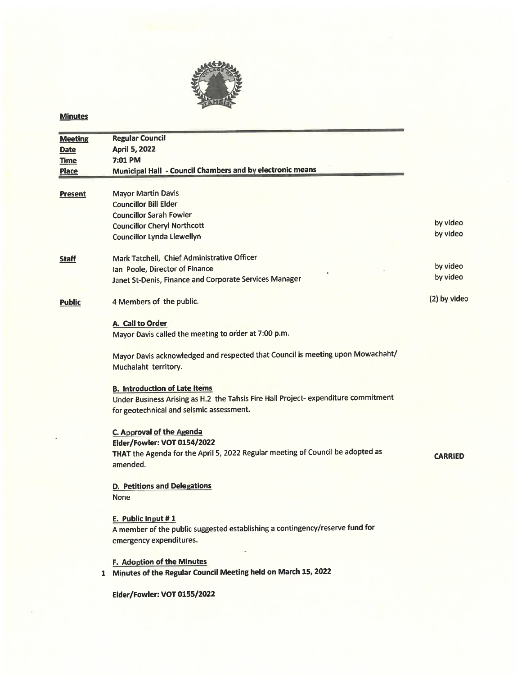

**Minutes** 

|                                                                                                        | by video                                                                                                                                                                                                                                                                                                                                                                                                                                                                                                                                                                                                                                                                                                                                                                                                                                                                                                                |
|--------------------------------------------------------------------------------------------------------|-------------------------------------------------------------------------------------------------------------------------------------------------------------------------------------------------------------------------------------------------------------------------------------------------------------------------------------------------------------------------------------------------------------------------------------------------------------------------------------------------------------------------------------------------------------------------------------------------------------------------------------------------------------------------------------------------------------------------------------------------------------------------------------------------------------------------------------------------------------------------------------------------------------------------|
| <b>Councillor Lynda Llewellyn</b>                                                                      | by video                                                                                                                                                                                                                                                                                                                                                                                                                                                                                                                                                                                                                                                                                                                                                                                                                                                                                                                |
|                                                                                                        |                                                                                                                                                                                                                                                                                                                                                                                                                                                                                                                                                                                                                                                                                                                                                                                                                                                                                                                         |
|                                                                                                        |                                                                                                                                                                                                                                                                                                                                                                                                                                                                                                                                                                                                                                                                                                                                                                                                                                                                                                                         |
|                                                                                                        | by video                                                                                                                                                                                                                                                                                                                                                                                                                                                                                                                                                                                                                                                                                                                                                                                                                                                                                                                |
|                                                                                                        | by video                                                                                                                                                                                                                                                                                                                                                                                                                                                                                                                                                                                                                                                                                                                                                                                                                                                                                                                |
| 4 Members of the public.                                                                               | (2) by video                                                                                                                                                                                                                                                                                                                                                                                                                                                                                                                                                                                                                                                                                                                                                                                                                                                                                                            |
|                                                                                                        |                                                                                                                                                                                                                                                                                                                                                                                                                                                                                                                                                                                                                                                                                                                                                                                                                                                                                                                         |
| Mayor Davis called the meeting to order at 7:00 p.m.                                                   |                                                                                                                                                                                                                                                                                                                                                                                                                                                                                                                                                                                                                                                                                                                                                                                                                                                                                                                         |
| Mayor Davis acknowledged and respected that Council is meeting upon Mowachaht/<br>Muchalaht territory. |                                                                                                                                                                                                                                                                                                                                                                                                                                                                                                                                                                                                                                                                                                                                                                                                                                                                                                                         |
|                                                                                                        |                                                                                                                                                                                                                                                                                                                                                                                                                                                                                                                                                                                                                                                                                                                                                                                                                                                                                                                         |
|                                                                                                        |                                                                                                                                                                                                                                                                                                                                                                                                                                                                                                                                                                                                                                                                                                                                                                                                                                                                                                                         |
| for geotechnical and seismic assessment.                                                               |                                                                                                                                                                                                                                                                                                                                                                                                                                                                                                                                                                                                                                                                                                                                                                                                                                                                                                                         |
|                                                                                                        |                                                                                                                                                                                                                                                                                                                                                                                                                                                                                                                                                                                                                                                                                                                                                                                                                                                                                                                         |
|                                                                                                        |                                                                                                                                                                                                                                                                                                                                                                                                                                                                                                                                                                                                                                                                                                                                                                                                                                                                                                                         |
|                                                                                                        |                                                                                                                                                                                                                                                                                                                                                                                                                                                                                                                                                                                                                                                                                                                                                                                                                                                                                                                         |
| amended.                                                                                               | <b>CARRIED</b>                                                                                                                                                                                                                                                                                                                                                                                                                                                                                                                                                                                                                                                                                                                                                                                                                                                                                                          |
|                                                                                                        |                                                                                                                                                                                                                                                                                                                                                                                                                                                                                                                                                                                                                                                                                                                                                                                                                                                                                                                         |
| <b>None</b>                                                                                            |                                                                                                                                                                                                                                                                                                                                                                                                                                                                                                                                                                                                                                                                                                                                                                                                                                                                                                                         |
|                                                                                                        |                                                                                                                                                                                                                                                                                                                                                                                                                                                                                                                                                                                                                                                                                                                                                                                                                                                                                                                         |
|                                                                                                        |                                                                                                                                                                                                                                                                                                                                                                                                                                                                                                                                                                                                                                                                                                                                                                                                                                                                                                                         |
| emergency expenditures.                                                                                |                                                                                                                                                                                                                                                                                                                                                                                                                                                                                                                                                                                                                                                                                                                                                                                                                                                                                                                         |
|                                                                                                        |                                                                                                                                                                                                                                                                                                                                                                                                                                                                                                                                                                                                                                                                                                                                                                                                                                                                                                                         |
| 1 Minutes of the Regular Council Meeting held on March 15, 2022                                        |                                                                                                                                                                                                                                                                                                                                                                                                                                                                                                                                                                                                                                                                                                                                                                                                                                                                                                                         |
|                                                                                                        |                                                                                                                                                                                                                                                                                                                                                                                                                                                                                                                                                                                                                                                                                                                                                                                                                                                                                                                         |
|                                                                                                        | <b>Regular Council</b><br><b>April 5, 2022</b><br>7:01 PM<br>Municipal Hall - Council Chambers and by electronic means<br><b>Mayor Martin Davis</b><br><b>Councillor Bill Elder</b><br><b>Councillor Sarah Fowler</b><br><b>Councillor Cheryl Northcott</b><br>Mark Tatchell, Chief Administrative Officer<br>Ian Poole, Director of Finance<br>Janet St-Denis, Finance and Corporate Services Manager<br>A. Call to Order<br><b>B. Introduction of Late Items</b><br>Under Business Arising as H.2 the Tahsis Fire Hall Project- expenditure commitment<br>C. Approval of the Agenda<br>Elder/Fowler: VOT 0154/2022<br>THAT the Agenda for the April 5, 2022 Regular meeting of Council be adopted as<br><b>D. Petitions and Delegations</b><br>E. Public Input #1<br>A member of the public suggested establishing a contingency/reserve fund for<br><b>F. Adoption of the Minutes</b><br>Elder/Fowler: VOT 0155/2022 |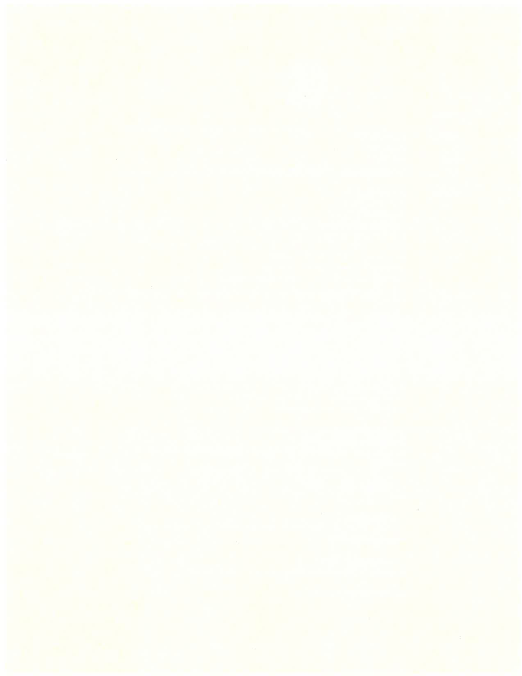**Contract Contract State**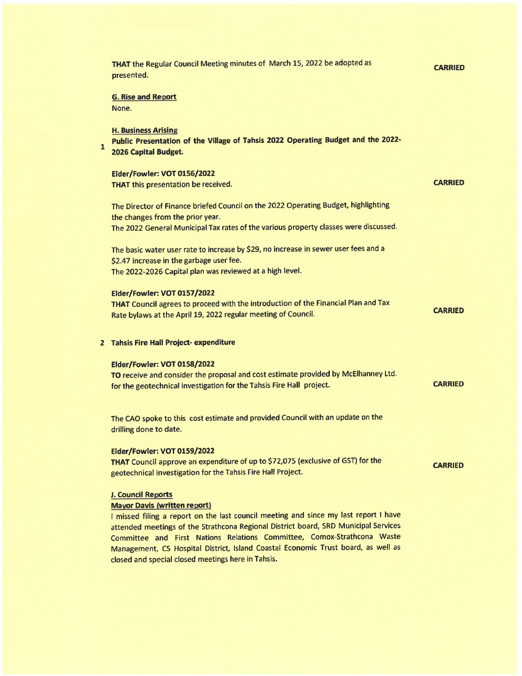|              | THAT the Regular Council Meeting minutes of March 15, 2022 be adopted as<br>presented.                                                                                                                                                                                                                                                                                                                          | <b>CARRIED</b> |
|--------------|-----------------------------------------------------------------------------------------------------------------------------------------------------------------------------------------------------------------------------------------------------------------------------------------------------------------------------------------------------------------------------------------------------------------|----------------|
|              | <b>G. Rise and Report</b><br>None.                                                                                                                                                                                                                                                                                                                                                                              |                |
| $\mathbf{1}$ | <b>H. Business Arising</b><br>Public Presentation of the Village of Tahsis 2022 Operating Budget and the 2022-<br>2026 Capital Budget.                                                                                                                                                                                                                                                                          |                |
|              | Elder/Fowler: VOT 0156/2022<br><b>THAT</b> this presentation be received.                                                                                                                                                                                                                                                                                                                                       | <b>CARRIED</b> |
|              | The Director of Finance briefed Council on the 2022 Operating Budget, highlighting<br>the changes from the prior year.<br>The 2022 General Municipal Tax rates of the various property classes were discussed.                                                                                                                                                                                                  |                |
|              | The basic water user rate to increase by \$29, no increase in sewer user fees and a                                                                                                                                                                                                                                                                                                                             |                |
|              | \$2.47 increase in the garbage user fee.<br>The 2022-2026 Capital plan was reviewed at a high level.                                                                                                                                                                                                                                                                                                            |                |
|              | Elder/Fowler: VOT 0157/2022<br>THAT Council agrees to proceed with the introduction of the Financial Plan and Tax<br>Rate bylaws at the April 19, 2022 regular meeting of Council.                                                                                                                                                                                                                              | <b>CARRIED</b> |
|              | 2 Tahsis Fire Hall Project- expenditure                                                                                                                                                                                                                                                                                                                                                                         |                |
|              | Elder/Fowler: VOT 0158/2022<br>TO receive and consider the proposal and cost estimate provided by McElhanney Ltd.<br>for the geotechnical investigation for the Tahsis Fire Hall project.                                                                                                                                                                                                                       | <b>CARRIED</b> |
|              | The CAO spoke to this cost estimate and provided Council with an update on the<br>drilling done to date.                                                                                                                                                                                                                                                                                                        |                |
|              | Elder/Fowler: VOT 0159/2022<br>THAT Council approve an expenditure of up to \$72,075 (exclusive of GST) for the<br>geotechnical investigation for the Tahsis Fire Hall Project.                                                                                                                                                                                                                                 | <b>CARRIED</b> |
|              | <b>J. Council Reports</b><br><b>Mayor Davis (written report)</b><br>I missed filing a report on the last council meeting and since my last report I have<br>attended meetings of the Strathcona Regional District board, SRD Municipal Services<br>Committee and First Nations Relations Committee, Comox-Strathcona Waste<br>Management, CS Hospital District, Island Coastal Economic Trust board, as well as |                |

closed and special closed meetings here in Tahsis.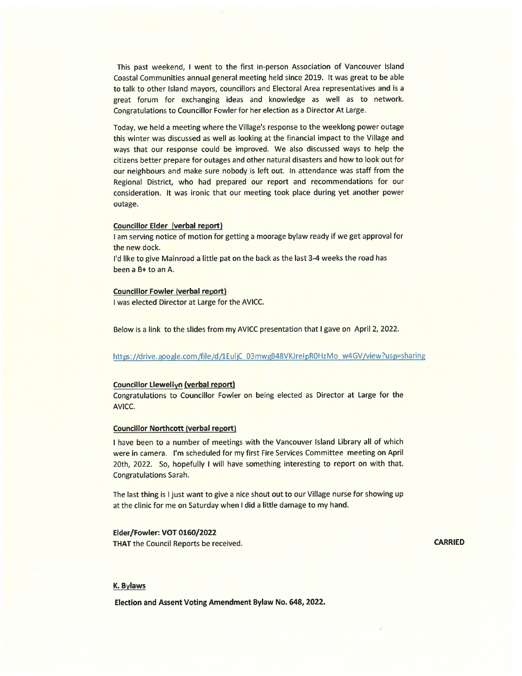This past weekend, I went to the first in-person Association of Vancouver Island Coastal Communities annual general meeting held since 2019. It was great to be able to talk to other Island mayors, councillors and Electoral Area representatives and is a great forum for exchanging ideas and knowledge as well as to network. Congratulations to Councillor Fowler for her election as a Director At Large.

Today, we held a meeting where the Village's response to the weeklong power outage this winter was discussed as well as looking at the financial impact to the Village and ways that our response could be improved. We also discussed ways to help the citizens better prepare for outages and other natural disasters and how to look out for our neighbours and make sure nobody is left out. In attendance was staff from the Regional District, who had prepared our report and recommendations for our consideration. It was ironic that our meeting took place during yet another power outage.

### Councillor Elder (verbal report)

I am serving notice of motion for getting a moorage bylaw ready if we get approval for the new dock.

I'd like to give Mainroad a little pat on the back as the last 3-4 weeks the road has been a B+ to an A.

### Councillor Fowler (verbal report)

I was elected Director at Large for the AVICC.

Below is a link to the slides from my AVICC presentation that I gave on April 2, 2022.

https://drive.google.com/file/d/1EuliC 03mwgB48VKJrelpR0HzMo w4GV/view?usp=sharing

### Councillor Llewellyn (verbal report)

Congratulations to Councillor Fowler on being elected as Director at Large for the AVICC.

#### Councillor Northcott (verbal report)

I have been to a number of meetings with the Vancouver Island Library all of which were in camera. I'm scheduled for my first Fire Services Committee meeting on April 20th, 2022. So, hopefully I will have something interesting to report on with that. Congratulations Sarah.

The last thing is I just want to give a nice shout out to our Village nurse for showing up at the clinic for me on Saturday when I did a little damage to my hand.

# Elder/Fowler: VOT 0160/2022

THAT the Council Reports be received. The council Reports be received.

# **K. Bylaws**

Election and Assent Voting Amendment Bylaw No. 648, 2022.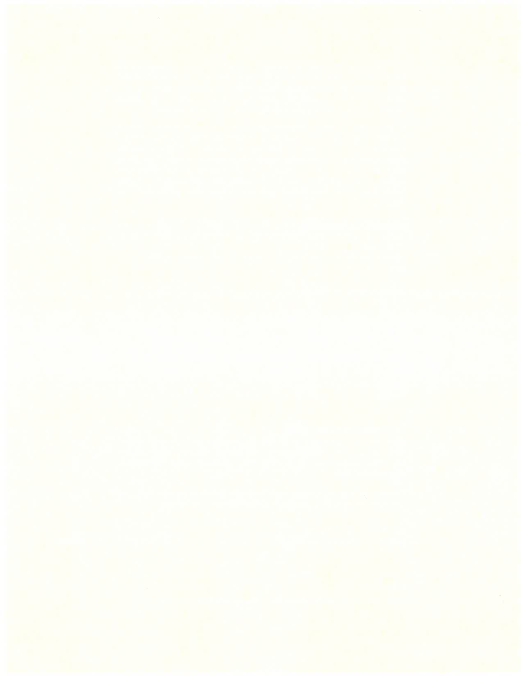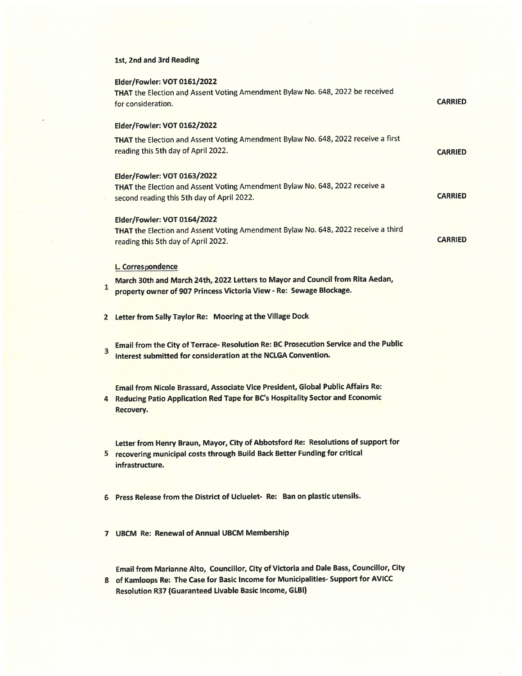# 1st, 2nd and 3rd Reading

|              | Elder/Fowler: VOT 0161/2022<br>THAT the Election and Assent Voting Amendment Bylaw No. 648, 2022 be received<br>for consideration.                                                | <b>CARRIED</b> |
|--------------|-----------------------------------------------------------------------------------------------------------------------------------------------------------------------------------|----------------|
|              | Elder/Fowler: VOT 0162/2022                                                                                                                                                       |                |
|              | THAT the Election and Assent Voting Amendment Bylaw No. 648, 2022 receive a first<br>reading this 5th day of April 2022.                                                          | <b>CARRIED</b> |
|              | Elder/Fowler: VOT 0163/2022<br>THAT the Election and Assent Voting Amendment Bylaw No. 648, 2022 receive a<br>second reading this 5th day of April 2022.                          | <b>CARRIED</b> |
|              | Elder/Fowler: VOT 0164/2022<br>THAT the Election and Assent Voting Amendment Bylaw No. 648, 2022 receive a third<br>reading this 5th day of April 2022.                           | <b>CARRIED</b> |
|              | L. Correspondence                                                                                                                                                                 |                |
| $\mathbf{1}$ | March 30th and March 24th, 2022 Letters to Mayor and Council from Rita Aedan,<br>property owner of 907 Princess Victoria View - Re: Sewage Blockage.                              |                |
|              | 2 Letter from Sally Taylor Re: Mooring at the Village Dock                                                                                                                        |                |
| 3            | Email from the City of Terrace- Resolution Re: BC Prosecution Service and the Public<br>Interest submitted for consideration at the NCLGA Convention.                             |                |
| 4            | Email from Nicole Brassard, Associate Vice President, Global Public Affairs Re:<br>Reducing Patio Application Red Tape for BC's Hospitality Sector and Economic<br>Recovery.      |                |
| 5            | Letter from Henry Braun, Mayor, City of Abbotsford Re: Resolutions of support for<br>recovering municipal costs through Build Back Better Funding for critical<br>infrastructure. |                |
|              | 6 Press Release from the District of Ucluelet- Re: Ban on plastic utensils.                                                                                                       |                |
|              | 7 UBCM Re: Renewal of Annual UBCM Membership                                                                                                                                      |                |

Email from Marianne Alto, Councillor, City of Victoria and Dale Bass, Councillor, City 8 of Kamloops Re: The Case for Basic Income for Municipalities- Support for AVICC Resolution R37 (Guaranteed Livable Basic Income, GLBI)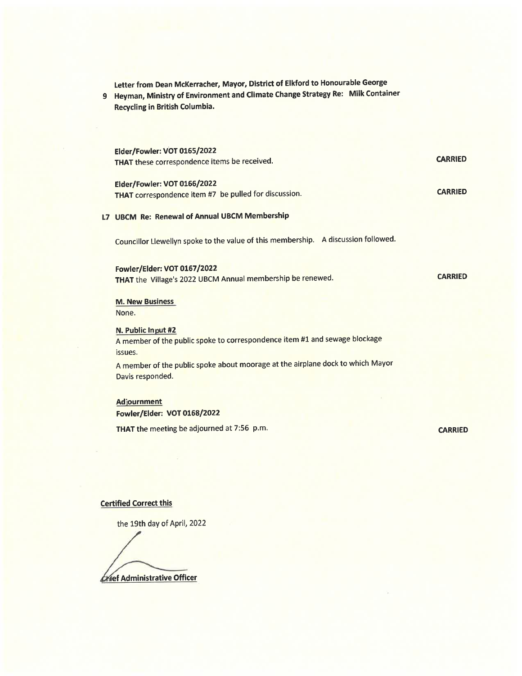Letter from Dean McKerracher, Mayor, District of Elkford to Honourable George

9 Heyman, Ministry of Environment and Climate Change Strategy Re: Milk Container Recycling in British Columbia.

Elder/Fowler: VOT 0165/2022 THAT these correspondence items be received. Elder/Fowler: VOT 0166/2022 THAT correspondence item #7 be pulled for discussion. L7 UBCM Re: Renewal of Annual UBCM Membership Councillor Llewellyn spoke to the value of this membership. A discussion followed. Fowler/Elder: VOT 0167/2022 THAT the Village's 2022 UBCM Annual membership be renewed. M. New Business None. N. Public Input #2 A member of the public spoke to correspondence item #1 and sewage blockage issues. A member of the public spoke about moorage at the airplane dock to which Mayor Davis responded. **CARRIED CARRIED CARRIED Adjournment** Fowler/Elder: VOT 0168/2022

THAT the meeting be adjourned at 7:56 p.m. CARRIED CARRIED

# Certified Correct this

the 19th day of April, 2022

**Chief Administrative Officer**